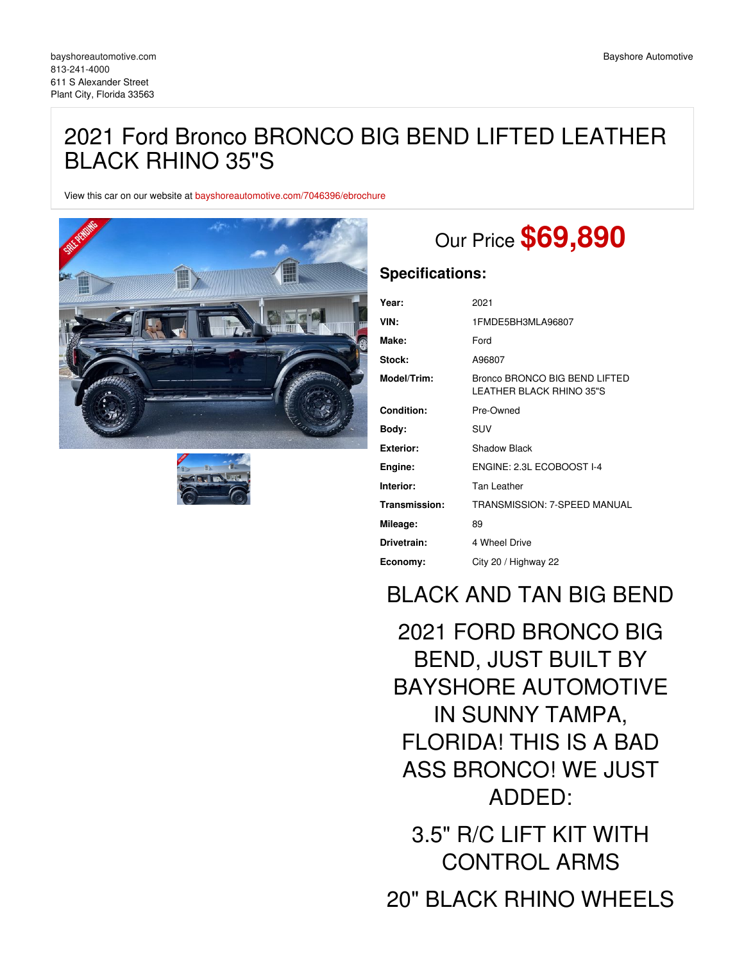# 2021 Ford Bronco BRONCO BIG BEND LIFTED LEATHER BLACK RHINO 35"S

View this car on our website at [bayshoreautomotive.com/7046396/ebrochure](https://bayshoreautomotive.com/vehicle/7046396/2021-ford-bronco-bronco-big-bend-lifted-leather-black-rhino-35-s-plant-city-florida-33563/7046396/ebrochure)





# Our Price **\$69,890**

## **Specifications:**

| Year:             | 2021                                                      |
|-------------------|-----------------------------------------------------------|
| VIN:              | 1FMDE5BH3MLA96807                                         |
| Make:             | Ford                                                      |
| Stock:            | A96807                                                    |
| Model/Trim:       | Bronco BRONCO BIG BEND LIFTED<br>LEATHER BLACK RHINO 35"S |
| <b>Condition:</b> | Pre-Owned                                                 |
| Body:             | <b>SUV</b>                                                |
| Exterior:         | Shadow Black                                              |
| Engine:           | ENGINE: 2.3L ECOBOOST I-4                                 |
| Interior:         | Tan Leather                                               |
| Transmission:     | TRANSMISSION: 7-SPEED MANUAL                              |
| Mileage:          | 89                                                        |
| Drivetrain:       | 4 Wheel Drive                                             |
| Economy:          | City 20 / Highway 22                                      |

## BLACK AND TAN BIG BEND

2021 FORD BRONCO BIG BEND, JUST BUILT BY BAYSHORE AUTOMOTIVE IN SUNNY TAMPA, FLORIDA! THIS IS A BAD ASS BRONCO! WE JUST ADDED: 3.5" R/C LIFT KIT WITH CONTROL ARMS 20" BLACK RHINO WHEELS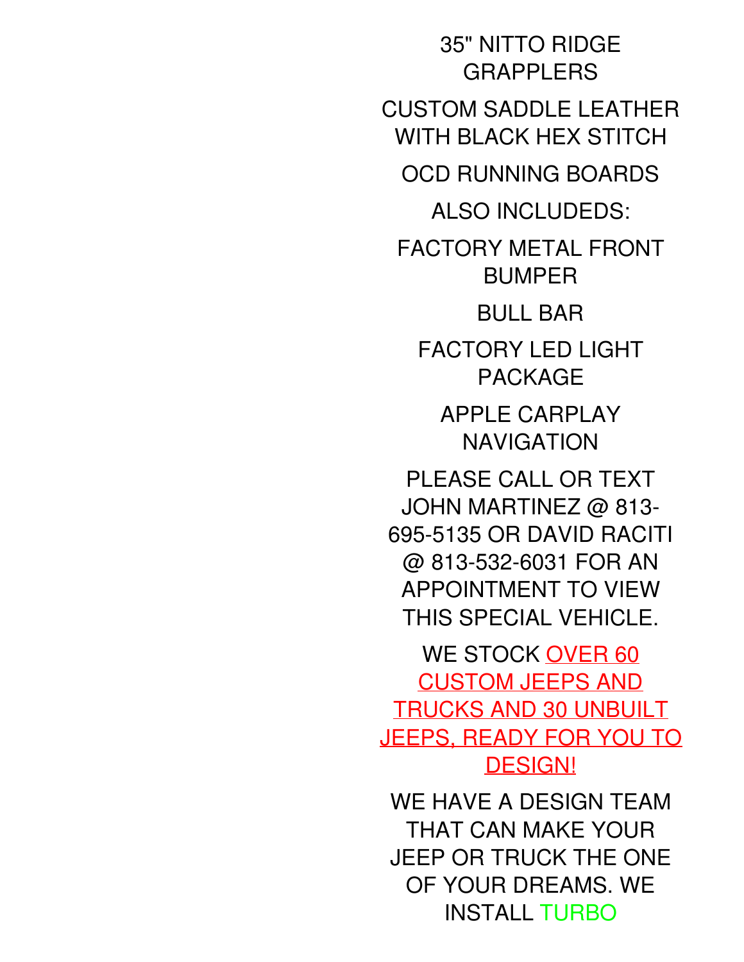35" NITTO RIDGE **GRAPPLERS** CUSTOM SADDLE LEATHER WITH BLACK HEX STITCH OCD RUNNING BOARDS ALSO INCLUDEDS: FACTORY METAL FRONT BUMPER BULL BAR FACTORY LED LIGHT PACKAGE APPLE CARPLAY NAVIGATION PLEASE CALL OR TEXT JOHN MARTINEZ @ 813- 695-5135 OR DAVID RACITI @ 813-532-6031 FOR AN APPOINTMENT TO VIEW THIS SPECIAL VEHICLE. WE STOCK OVER 60 CUSTOM JEEPS AND TRUCKS AND 30 UNBUILT JEEPS, READY FOR YOU TO DESIGN! WE HAVE A DESIGN TEAM THAT CAN MAKE YOUR JEEP OR TRUCK THE ONE OF YOUR DREAMS. WE INSTALL TURBO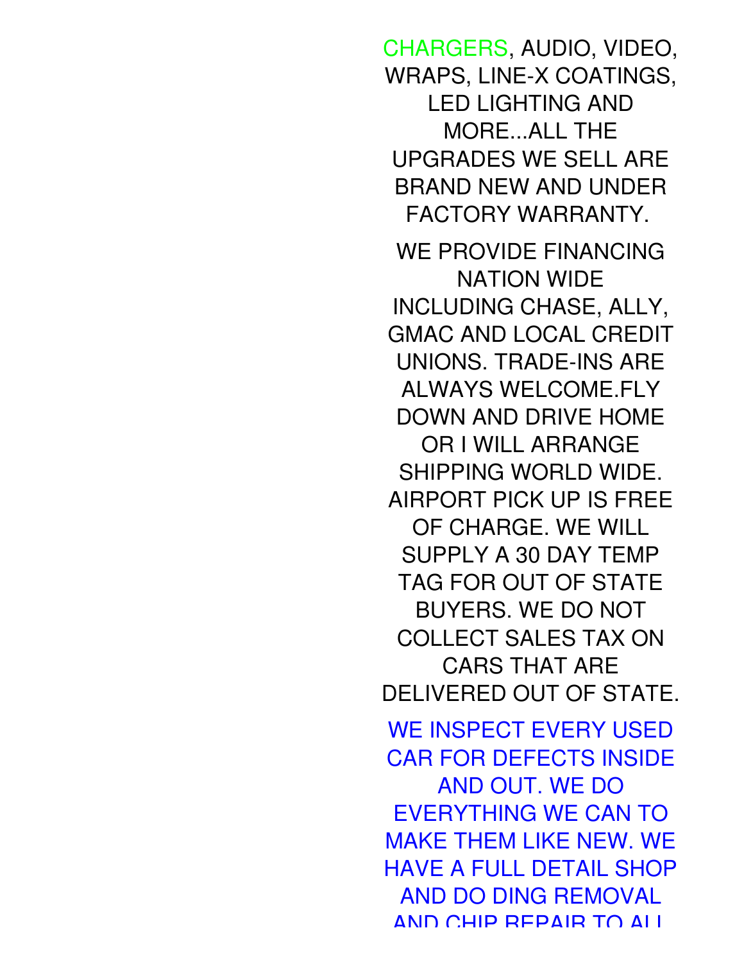CHARGERS, AUDIO, VIDEO, WRAPS, LINE-X COATINGS, LED LIGHTING AND MORE...ALL THE UPGRADES WE SELL ARE BRAND NEW AND UNDER FACTORY WARRANTY. WE PROVIDE FINANCING NATION WIDE INCLUDING CHASE, ALLY, GMAC AND LOCAL CREDIT UNIONS. TRADE-INS ARE ALWAYS WELCOME.FLY DOWN AND DRIVE HOME OR I WILL ARRANGE SHIPPING WORLD WIDE. AIRPORT PICK UP IS FREE OF CHARGE. WE WILL SUPPLY A 30 DAY TEMP TAG FOR OUT OF STATE BUYERS. WE DO NOT COLLECT SALES TAX ON CARS THAT ARE DELIVERED OUT OF STATE. WE INSPECT EVERY USED CAR FOR DEFECTS INSIDE AND OUT. WE DO EVERYTHING WE CAN TO MAKE THEM LIKE NEW. WE HAVE A FULL DETAIL SHOP AND DO DING REMOVAL AND CHIP REPAIR TO ALL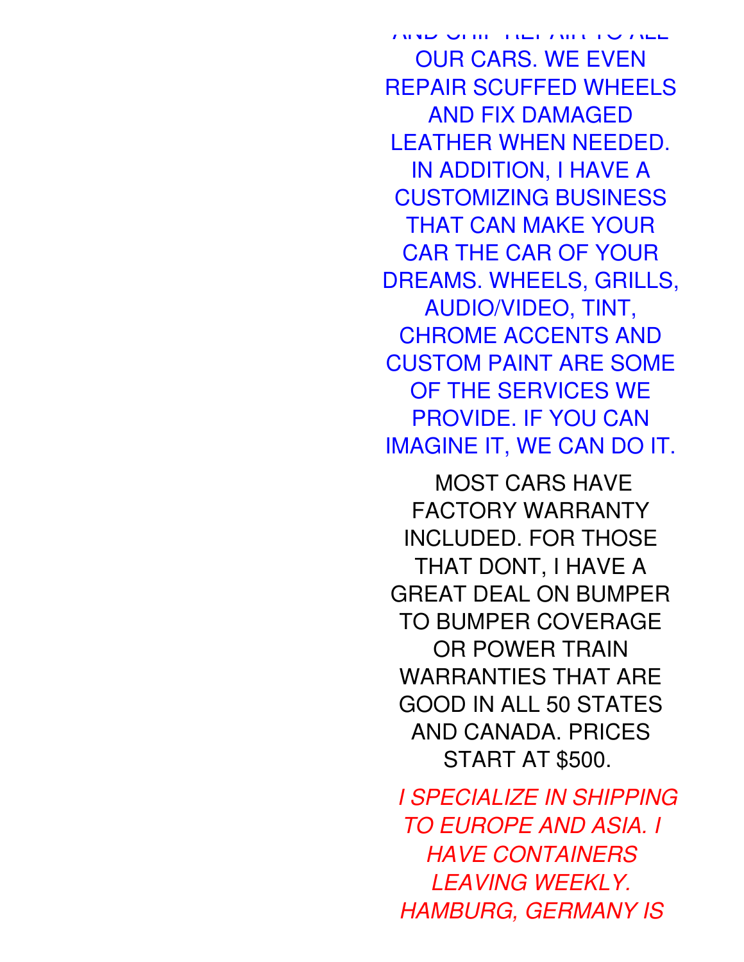AND CHIP REPAIR TO ALL OUR CARS. WE EVEN REPAIR SCUFFED WHEELS AND FIX DAMAGED LEATHER WHEN NEEDED. IN ADDITION, I HAVE A CUSTOMIZING BUSINESS THAT CAN MAKE YOUR CAR THE CAR OF YOUR DREAMS. WHEELS, GRILLS, AUDIO/VIDEO, TINT, CHROME ACCENTS AND CUSTOM PAINT ARE SOME OF THE SERVICES WE PROVIDE. IF YOU CAN IMAGINE IT, WE CAN DO IT.

MOST CARS HAVE FACTORY WARRANTY INCLUDED. FOR THOSE THAT DONT, I HAVE A GREAT DEAL ON BUMPER TO BUMPER COVERAGE OR POWER TRAIN WARRANTIES THAT ARE GOOD IN ALL 50 STATES AND CANADA. PRICES START AT \$500.

*I SPECIALIZE IN SHIPPING TO EUROPE AND ASIA. I HAVE CONTAINERS LEAVING WEEKLY. HAMBURG, GERMANY IS*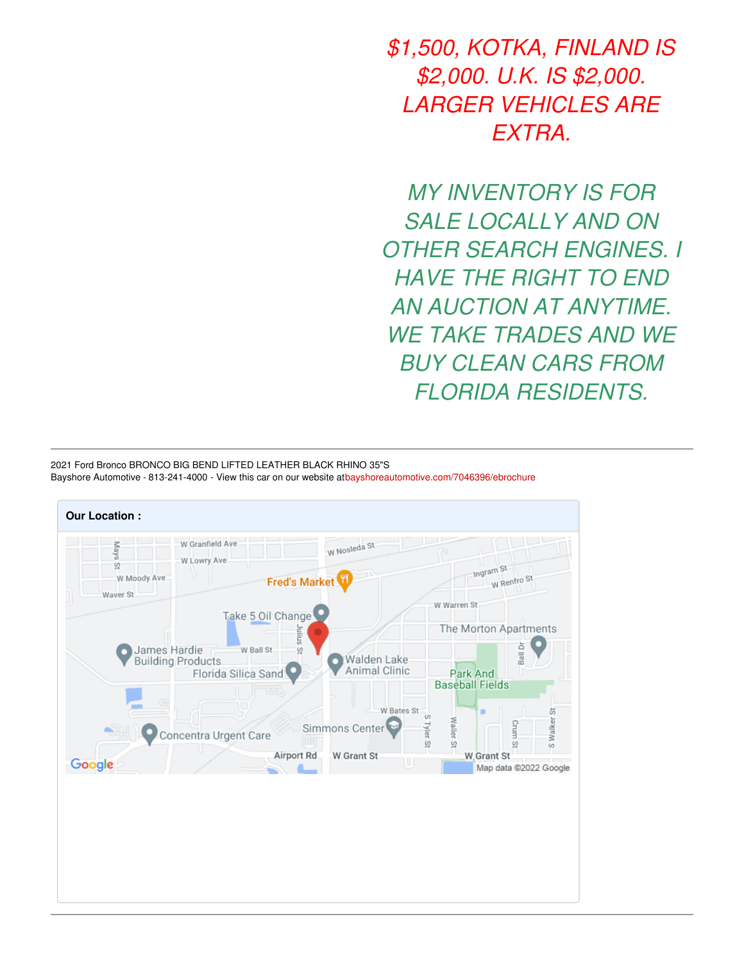*\$1,500, KOTKA, FINLAND IS \$2,000. U.K. IS \$2,000. LARGER VEHICLES ARE EXTRA.*

*MY INVENTORY IS FOR SALE LOCALLY AND ON OTHER SEARCH ENGINES. I HAVE THE RIGHT TO END AN AUCTION AT ANYTIME. WE TAKE TRADES AND WE BUY CLEAN CARS FROM FLORIDA RESIDENTS.*

2021 Ford Bronco BRONCO BIG BEND LIFTED LEATHER BLACK RHINO 35"S Bayshore Automotive - 813-241-4000 - View this car on our website a[tbayshoreautomotive.com/7046396/ebrochure](https://bayshoreautomotive.com/vehicle/7046396/2021-ford-bronco-bronco-big-bend-lifted-leather-black-rhino-35-s-plant-city-florida-33563/7046396/ebrochure)

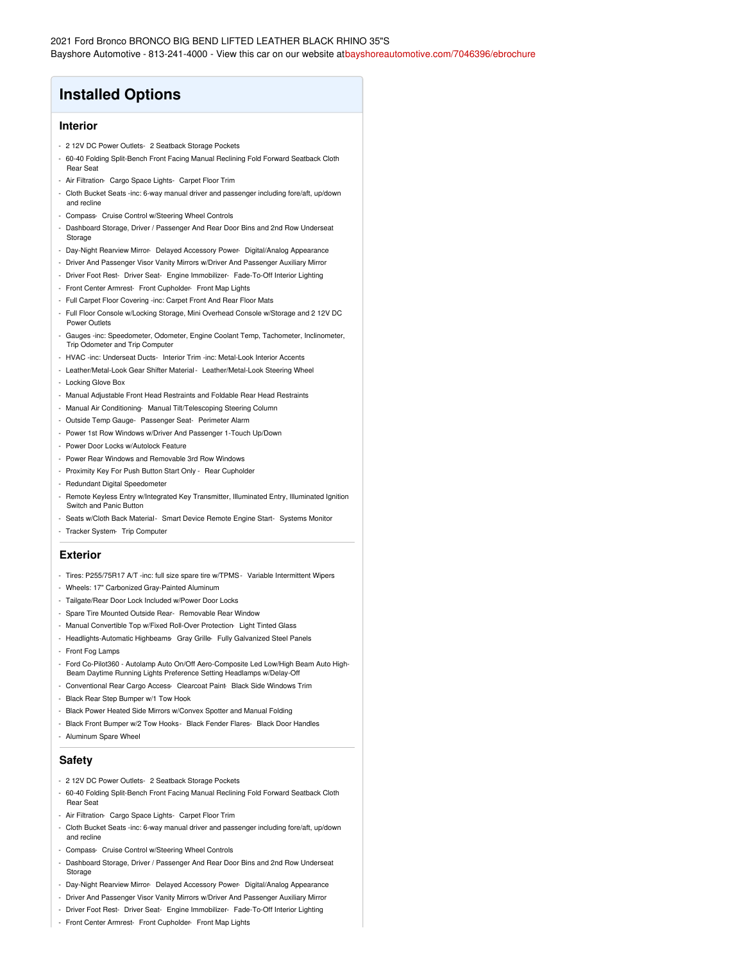## **Installed Options**

### **Interior**

- 2 12V DC Power Outlets- 2 Seatback Storage Pockets
- 60-40 Folding Split-Bench Front Facing Manual Reclining Fold Forward Seatback Cloth Rear Seat
- Air Filtration- Cargo Space Lights- Carpet Floor Trim
- Cloth Bucket Seats -inc: 6-way manual driver and passenger including fore/aft, up/down and recline
- Compass- Cruise Control w/Steering Wheel Controls
- Dashboard Storage, Driver / Passenger And Rear Door Bins and 2nd Row Underseat Storage
- Day-Night Rearview Mirror- Delayed Accessory Power- Digital/Analog Appearance
- Driver And Passenger Visor Vanity Mirrors w/Driver And Passenger Auxiliary Mirror
- Driver Foot Rest- Driver Seat- Engine Immobilizer- Fade-To-Off Interior Lighting
- Front Center Armrest- Front Cupholder- Front Map Lights
- Full Carpet Floor Covering -inc: Carpet Front And Rear Floor Mats
- Full Floor Console w/Locking Storage, Mini Overhead Console w/Storage and 2 12V DC Power Outlets
- Gauges -inc: Speedometer, Odometer, Engine Coolant Temp, Tachometer, Inclinometer, Trip Odometer and Trip Computer
- HVAC -inc: Underseat Ducts- Interior Trim -inc: Metal-Look Interior Accents
- Leather/Metal-Look Gear Shifter Material- Leather/Metal-Look Steering Wheel
- Locking Glove Box
- Manual Adjustable Front Head Restraints and Foldable Rear Head Restraints
- Manual Air Conditioning- Manual Tilt/Telescoping Steering Column
- Outside Temp Gauge- Passenger Seat- Perimeter Alarm
- Power 1st Row Windows w/Driver And Passenger 1-Touch Up/Down
- Power Door Locks w/Autolock Feature
- Power Rear Windows and Removable 3rd Row Windows
- Proximity Key For Push Button Start Only Rear Cupholder
- Redundant Digital Speedometer
- Remote Keyless Entry w/Integrated Key Transmitter, Illuminated Entry, Illuminated Ignition Switch and Panic Button
- Seats w/Cloth Back Material- Smart Device Remote Engine Start- Systems Monitor
- Tracker System- Trip Computer

#### **Exterior**

- Tires: P255/75R17 A/T -inc: full size spare tire w/TPMS- Variable Intermittent Wipers
- Wheels: 17" Carbonized Gray-Painted Aluminum
- Tailgate/Rear Door Lock Included w/Power Door Locks
- Spare Tire Mounted Outside Rear- Removable Rear Window
- Manual Convertible Top w/Fixed Roll-Over Protection- Light Tinted Glass
- Headlights-Automatic Highbeams- Gray Grille- Fully Galvanized Steel Panels
- Front Fog Lamps
- Ford Co-Pilot360 Autolamp Auto On/Off Aero-Composite Led Low/High Beam Auto High-Beam Daytime Running Lights Preference Setting Headlamps w/Delay-Off
- Conventional Rear Cargo Access- Clearcoat Paint- Black Side Windows Trim
- Black Rear Step Bumper w/1 Tow Hook
- Black Power Heated Side Mirrors w/Convex Spotter and Manual Folding
- Black Front Bumper w/2 Tow Hooks- Black Fender Flares- Black Door Handles
- Aluminum Spare Wheel

## **Safety**

- 2 12V DC Power Outlets- 2 Seatback Storage Pockets
- 60-40 Folding Split-Bench Front Facing Manual Reclining Fold Forward Seatback Cloth Rear Seat
- Air Filtration- Cargo Space Lights- Carpet Floor Trim
- Cloth Bucket Seats -inc: 6-way manual driver and passenger including fore/aft, up/down and recline
- Compass- Cruise Control w/Steering Wheel Controls
- Dashboard Storage, Driver / Passenger And Rear Door Bins and 2nd Row Underseat Storage
- Day-Night Rearview Mirror- Delayed Accessory Power- Digital/Analog Appearance
- Driver And Passenger Visor Vanity Mirrors w/Driver And Passenger Auxiliary Mirror
- Driver Foot Rest- Driver Seat- Engine Immobilizer- Fade-To-Off Interior Lighting
- Front Center Armrest- Front Cupholder- Front Map Lights